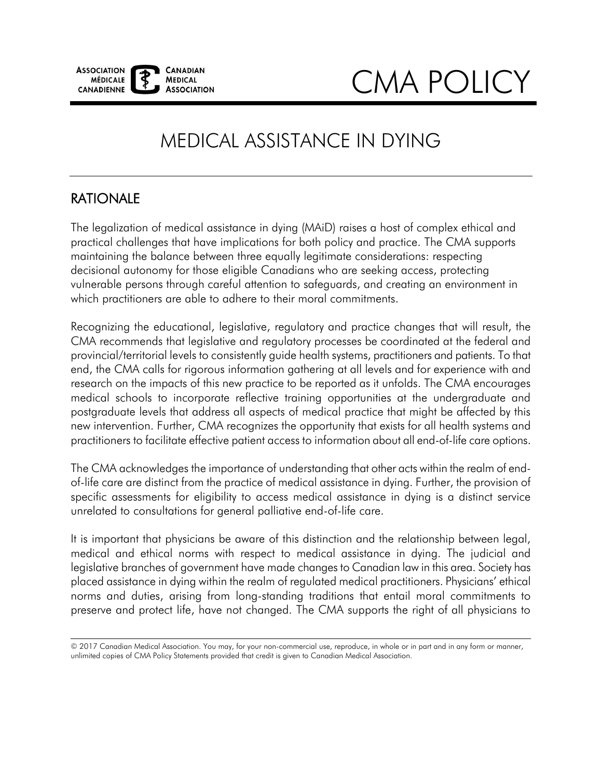

## CMA POLICY

### MEDICAL ASSISTANCE IN DYING

#### RATIONALE

 $\overline{a}$ 

The legalization of medical assistance in dying (MAiD) raises a host of complex ethical and practical challenges that have implications for both policy and practice. The CMA supports maintaining the balance between three equally legitimate considerations: respecting decisional autonomy for those eligible Canadians who are seeking access, protecting vulnerable persons through careful attention to safeguards, and creating an environment in which practitioners are able to adhere to their moral commitments.

 Recognizing the educational, legislative, regulatory and practice changes that will result, the provincial/territorial levels to consistently guide health systems, practitioners and patients. To that end, the CMA calls for rigorous information gathering at all levels and for experience with and research on the impacts of this new practice to be reported as it unfolds. The CMA encourages medical schools to incorporate reflective training opportunities at the undergraduate and practitioners to facilitate effective patient access to information about all end-of-life care options. CMA recommends that legislative and regulatory processes be coordinated at the federal and postgraduate levels that address all aspects of medical practice that might be affected by this new intervention. Further, CMA recognizes the opportunity that exists for all health systems and

 The CMA acknowledges the importance of understanding that other acts within the realm of end- of-life care are distinct from the practice of medical assistance in dying. Further, the provision of unrelated to consultations for general palliative end-of-life care. specific assessments for eligibility to access medical assistance in dying is a distinct service

It is important that physicians be aware of this distinction and the relationship between legal, medical and ethical norms with respect to medical assistance in dying. The judicial and legislative branches of government have made changes to Canadian law in this area. Society has placed assistance in dying within the realm of regulated medical practitioners. Physicians' ethical norms and duties, arising from long-standing traditions that entail moral commitments to preserve and protect life, have not changed. The CMA supports the right of all physicians to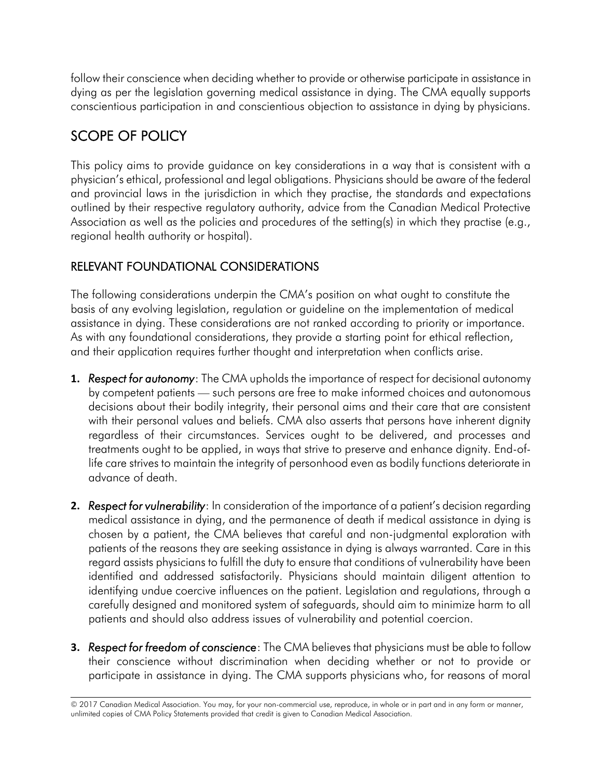follow their conscience when deciding whether to provide or otherwise participate in assistance in dying as per the legislation governing medical assistance in dying. The CMA equally supports conscientious participation in and conscientious objection to assistance in dying by physicians.

#### SCOPE OF POLICY

This policy aims to provide guidance on key considerations in a way that is consistent with a physician's ethical, professional and legal obligations. Physicians should be aware of the federal and provincial laws in the jurisdiction in which they practise, the standards and expectations outlined by their respective regulatory authority, advice from the Canadian Medical Protective Association as well as the policies and procedures of the setting(s) in which they practise (e.g., regional health authority or hospital).

#### RELEVANT FOUNDATIONAL CONSIDERATIONS

 and their application requires further thought and interpretation when conflicts arise. The following considerations underpin the CMA's position on what ought to constitute the basis of any evolving legislation, regulation or guideline on the implementation of medical assistance in dying. These considerations are not ranked according to priority or importance. As with any foundational considerations, they provide a starting point for ethical reflection,

- **1.** *Respect for autonomy*: The CMA upholds the importance of respect for decisional autonomy by competent patients — such persons are free to make informed choices and autonomous decisions about their bodily integrity, their personal aims and their care that are consistent with their personal values and beliefs. CMA also asserts that persons have inherent dignity treatments ought to be applied, in ways that strive to preserve and enhance dignity. End-of- life care strives to maintain the integrity of personhood even as bodily functions deteriorate in regardless of their circumstances. Services ought to be delivered, and processes and advance of death.
- **2.** *Respect for vulnerability*: In consideration of the importance of a patient's decision regarding chosen by a patient, the CMA believes that careful and non-judgmental exploration with patients of the reasons they are seeking assistance in dying is always warranted. Care in this regard assists physicians to fulfill the duty to ensure that conditions of vulnerability have been carefully designed and monitored system of safeguards, should aim to minimize harm to all medical assistance in dying, and the permanence of death if medical assistance in dying is identified and addressed satisfactorily. Physicians should maintain diligent attention to identifying undue coercive influences on the patient. Legislation and regulations, through a patients and should also address issues of vulnerability and potential coercion.
- **3.** *Respect for freedom of conscience*: The CMA believes that physicians must be able to follow their conscience without discrimination when deciding whether or not to provide or participate in assistance in dying. The CMA supports physicians who, for reasons of moral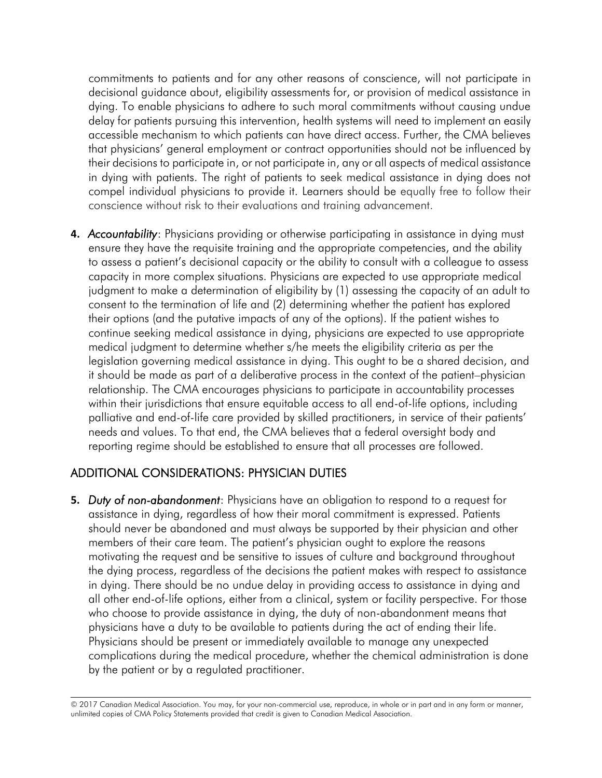commitments to patients and for any other reasons of conscience, will not participate in decisional guidance about, eligibility assessments for, or provision of medical assistance in dying. To enable physicians to adhere to such moral commitments without causing undue accessible mechanism to which patients can have direct access. Further, the CMA believes that physicians' general employment or contract opportunities should not be influenced by their decisions to participate in, or not participate in, any or all aspects of medical assistance compel individual physicians to provide it. Learners should be equally free to follow their delay for patients pursuing this intervention, health systems will need to implement an easily in dying with patients. The right of patients to seek medical assistance in dying does not conscience without risk to their evaluations and training advancement.

**4.** *Accountability*: Physicians providing or otherwise participating in assistance in dying must ensure they have the requisite training and the appropriate competencies, and the ability to assess a patient's decisional capacity or the ability to consult with a colleague to assess capacity in more complex situations. Physicians are expected to use appropriate medical judgment to make a determination of eligibility by (1) assessing the capacity of an adult to consent to the termination of life and (2) determining whether the patient has explored their options (and the putative impacts of any of the options). If the patient wishes to continue seeking medical assistance in dying, physicians are expected to use appropriate medical judgment to determine whether s/he meets the eligibility criteria as per the legislation governing medical assistance in dying. This ought to be a shared decision, and it should be made as part of a deliberative process in the context of the patient–physician relationship. The CMA encourages physicians to participate in accountability processes within their jurisdictions that ensure equitable access to all end-of-life options, including palliative and end-of-life care provided by skilled practitioners, in service of their patients' needs and values. To that end, the CMA believes that a federal oversight body and reporting regime should be established to ensure that all processes are followed.

#### ADDITIONAL CONSIDERATIONS: PHYSICIAN DUTIES

 **5.** *Duty of non-abandonment*: Physicians have an obligation to respond to a request for assistance in dying, regardless of how their moral commitment is expressed. Patients should never be abandoned and must always be supported by their physician and other members of their care team. The patient's physician ought to explore the reasons motivating the request and be sensitive to issues of culture and background throughout the dying process, regardless of the decisions the patient makes with respect to assistance in dying. There should be no undue delay in providing access to assistance in dying and all other end-of-life options, either from a clinical, system or facility perspective. For those who choose to provide assistance in dying, the duty of non-abandonment means that physicians have a duty to be available to patients during the act of ending their life. Physicians should be present or immediately available to manage any unexpected complications during the medical procedure, whether the chemical administration is done by the patient or by a regulated practitioner.

<sup>© 2017</sup> Canadian Medical Association. You may, for your non-commercial use, reproduce, in whole or in part and in any form or manner, unlimited copies of CMA Policy Statements provided that credit is given to Canadian Medical Association.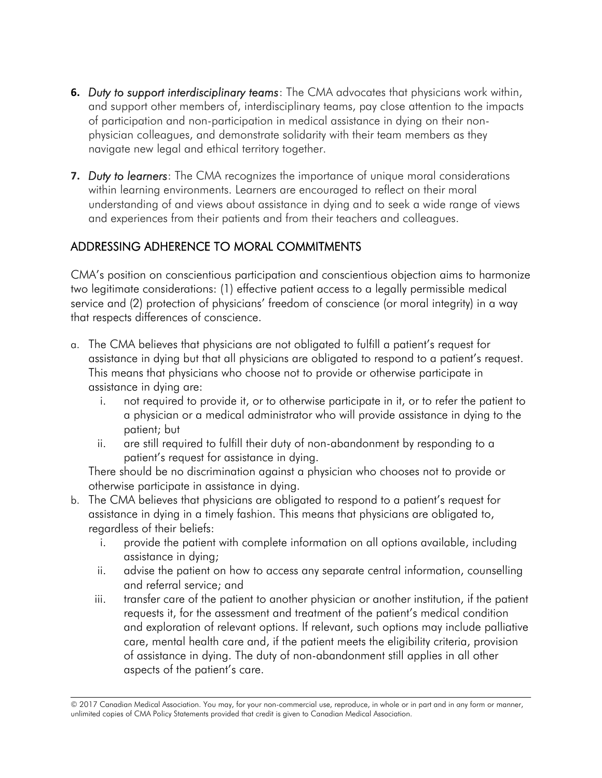- **6.** *Duty to support interdisciplinary teams*: The CMA advocates that physicians work within, and support other members of, interdisciplinary teams, pay close attention to the impacts of participation and non-participation in medical assistance in dying on their nonphysician colleagues, and demonstrate solidarity with their team members as they navigate new legal and ethical territory together.
- **7.** *Duty to learners*: The CMA recognizes the importance of unique moral considerations within learning environments. Learners are encouraged to reflect on their moral understanding of and views about assistance in dying and to seek a wide range of views and experiences from their patients and from their teachers and colleagues.

#### ADDRESSING ADHERENCE TO MORAL COMMITMENTS

CMA's position on conscientious participation and conscientious objection aims to harmonize two legitimate considerations: (1) effective patient access to a legally permissible medical service and (2) protection of physicians' freedom of conscience (or moral integrity) in a way that respects differences of conscience.

- a. The CMA believes that physicians are not obligated to fulfill a patient's request for assistance in dying but that all physicians are obligated to respond to a patient's request. This means that physicians who choose not to provide or otherwise participate in assistance in dying are:
	- i. not required to provide it, or to otherwise participate in it, or to refer the patient to a physician or a medical administrator who will provide assistance in dying to the patient; but
	- ii. are still required to fulfill their duty of non-abandonment by responding to a patient's request for assistance in dying.

There should be no discrimination against a physician who chooses not to provide or otherwise participate in assistance in dying.

- b. The CMA believes that physicians are obligated to respond to a patient's request for assistance in dying in a timely fashion. This means that physicians are obligated to, regardless of their beliefs:
	- i. provide the patient with complete information on all options available, including assistance in dying;
	- and referral service; and ii. advise the patient on how to access any separate central information, counselling
	- iii. transfer care of the patient to another physician or another institution, if the patient requests it, for the assessment and treatment of the patient's medical condition and exploration of relevant options. If relevant, such options may include palliative care, mental health care and, if the patient meets the eligibility criteria, provision of assistance in dying. The duty of non-abandonment still applies in all other aspects of the patient's care.

<sup>© 2017</sup> Canadian Medical Association. You may, for your non-commercial use, reproduce, in whole or in part and in any form or manner, unlimited copies of CMA Policy Statements provided that credit is given to Canadian Medical Association.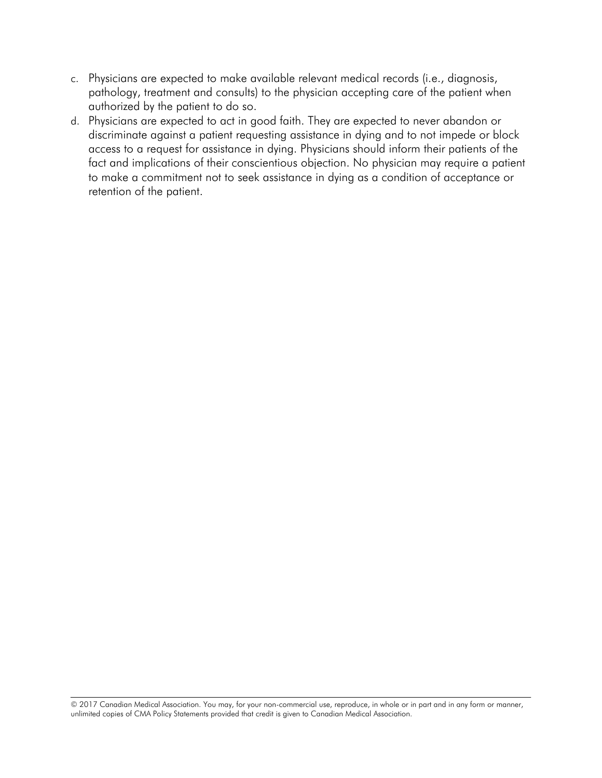- c. Physicians are expected to make available relevant medical records (i.e., diagnosis, pathology, treatment and consults) to the physician accepting care of the patient when authorized by the patient to do so.
- d. Physicians are expected to act in good faith. They are expected to never abandon or discriminate against a patient requesting assistance in dying and to not impede or block access to a request for assistance in dying. Physicians should inform their patients of the fact and implications of their conscientious objection. No physician may require a patient to make a commitment not to seek assistance in dying as a condition of acceptance or retention of the patient.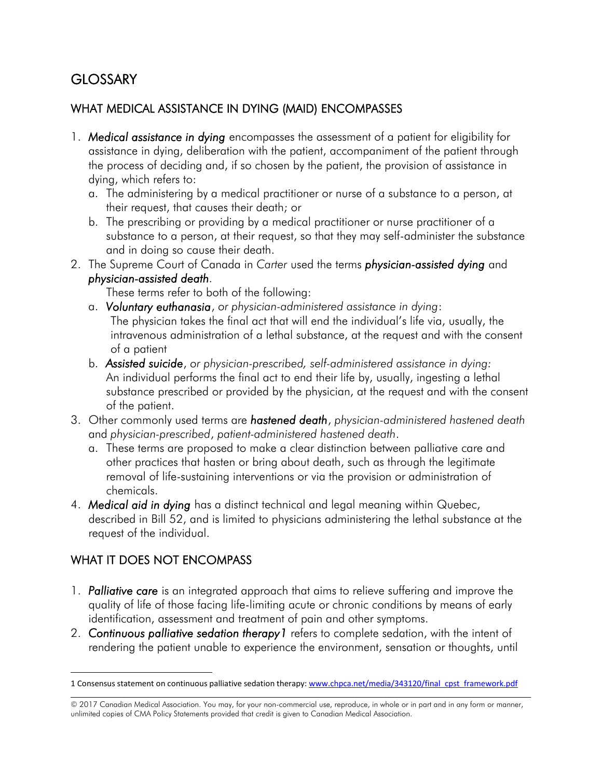#### **GLOSSARY**

# GLOSSARY<br>WHAT MEDICAL ASSISTANCE IN DYING (MAID) ENCOMPASSES

- 1. *Medical assistance in dying* encompasses the assessment of a patient for eligibility for assistance in dying, deliberation with the patient, accompaniment of the patient through the process of deciding and, if so chosen by the patient, the provision of assistance in dying, which refers to:
	- their request, that causes their death; or a. The administering by a medical practitioner or nurse of a substance to a person, at
	- and in doing so cause their death. b. The prescribing or providing by a medical practitioner or nurse practitioner of a substance to a person, at their request, so that they may self-administer the substance
- 2. The Supreme Court of Canada in *Carter* used the terms *physician-assisted dying* and *physician-assisted death.*

These terms refer to both of the following:

- a. *Voluntary euthanasia*, *or physician-administered assistance in dying*: The physician takes the final act that will end the individual's life via, usually, the intravenous administration of a lethal substance, at the request and with the consent of a patient
- b. *Assisted suicide*, *or physician-prescribed, self-administered assistance in dying:*  An individual performs the final act to end their life by, usually, ingesting a lethal substance prescribed or provided by the physician, at the request and with the consent of the patient.
- 3. Other commonly used terms are *hastened death*, *physician-administered hastened death*  and *physician-prescribed*, *patient-administered hastened death*.
	- a. These terms are proposed to make a clear distinction between palliative care and other practices that hasten or bring about death, such as through the legitimate removal of life-sustaining interventions or via the provision or administration of chemicals.
- 4. *Medical aid in dying* has a distinct technical and legal meaning within Quebec, described in Bill 52, and is limited to physicians administering the lethal substance at the request of the individual.

#### WHAT IT DOES NOT ENCOMPASS

- 1. *Palliative care* is an integrated approach that aims to relieve suffering and improve the quality of life of those facing life-limiting acute or chronic conditions by means of early identification, assessment and treatment of pain and other symptoms.
- 2. *Continuous palliative sedation therapy1* refers to complete sedation, with the intent of rendering the patient unable to experience the environment, sensation or thoughts, until

 $\overline{a}$ 1 Consensus statement on continuous palliative sedation therapy[: www.chpca.net/media/343120/final\\_cpst\\_framework.pdf](http://www.chpca.net/media/343120/final_cpst_framework.pdf) 

<sup>© 2017</sup> Canadian Medical Association. You may, for your non-commercial use, reproduce, in whole or in part and in any form or manner, unlimited copies of CMA Policy Statements provided that credit is given to Canadian Medical Association.